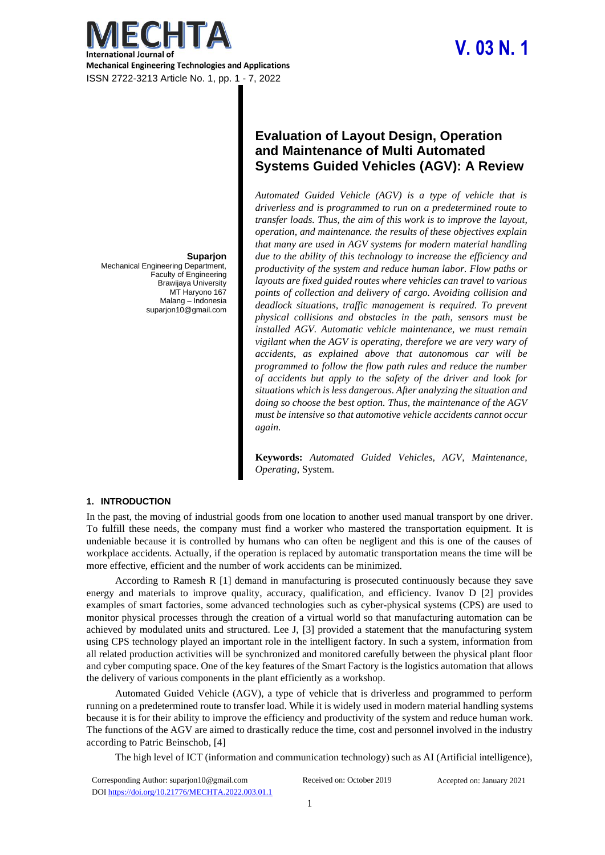

# **V. 03 N. 1**

#### **Suparjon**

Mechanical Engineering Department, Faculty of Engineering Brawijaya University MT Haryono 167 Malang – Indonesia suparjon10@gmail.com

# **Evaluation of Layout Design, Operation and Maintenance of Multi Automated Systems Guided Vehicles (AGV): A Review**

*Automated Guided Vehicle (AGV) is a type of vehicle that is driverless and is programmed to run on a predetermined route to transfer loads. Thus, the aim of this work is to improve the layout, operation, and maintenance. the results of these objectives explain that many are used in AGV systems for modern material handling due to the ability of this technology to increase the efficiency and productivity of the system and reduce human labor. Flow paths or layouts are fixed guided routes where vehicles can travel to various points of collection and delivery of cargo. Avoiding collision and deadlock situations, traffic management is required. To prevent physical collisions and obstacles in the path, sensors must be installed AGV. Automatic vehicle maintenance, we must remain vigilant when the AGV is operating, therefore we are very wary of accidents, as explained above that autonomous car will be programmed to follow the flow path rules and reduce the number of accidents but apply to the safety of the driver and look for situations which is less dangerous. After analyzing the situation and doing so choose the best option. Thus, the maintenance of the AGV must be intensive so that automotive vehicle accidents cannot occur again.*

**Keywords:** *Automated Guided Vehicles, AGV, Maintenance, Operating,* System*.*

#### **1. INTRODUCTION**

In the past, the moving of industrial goods from one location to another used manual transport by one driver. To fulfill these needs, the company must find a worker who mastered the transportation equipment. It is undeniable because it is controlled by humans who can often be negligent and this is one of the causes of workplace accidents. Actually, if the operation is replaced by automatic transportation means the time will be more effective, efficient and the number of work accidents can be minimized.

According to Ramesh R [1] demand in manufacturing is prosecuted continuously because they save energy and materials to improve quality, accuracy, qualification, and efficiency. Ivanov D [2] provides examples of smart factories, some advanced technologies such as cyber-physical systems (CPS) are used to monitor physical processes through the creation of a virtual world so that manufacturing automation can be achieved by modulated units and structured. Lee J, [3] provided a statement that the manufacturing system using CPS technology played an important role in the intelligent factory. In such a system, information from all related production activities will be synchronized and monitored carefully between the physical plant floor and cyber computing space. One of the key features of the Smart Factory is the logistics automation that allows the delivery of various components in the plant efficiently as a workshop.

Automated Guided Vehicle (AGV), a type of vehicle that is driverless and programmed to perform running on a predetermined route to transfer load. While it is widely used in modern material handling systems because it is for their ability to improve the efficiency and productivity of the system and reduce human work. The functions of the AGV are aimed to drastically reduce the time, cost and personnel involved in the industry according to Patric Beinschob, [4]

The high level of ICT (information and communication technology) such as AI (Artificial intelligence),

| Corresponding Author: suparjon10@gmail.com        | Received on: October 2019 | Accepted on: January 2021 |
|---------------------------------------------------|---------------------------|---------------------------|
| DOI https://doi.org/10.21776/MECHTA.2022.003.01.1 |                           |                           |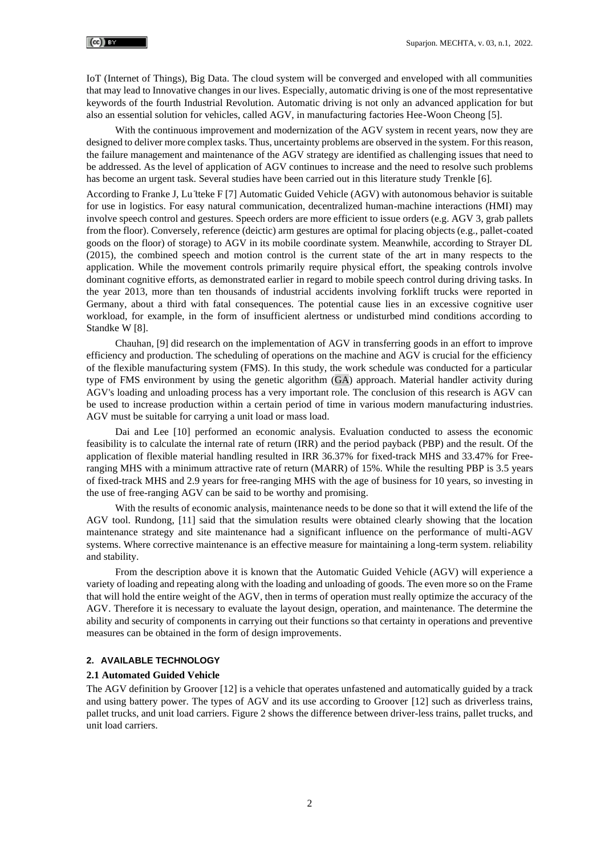IoT (Internet of Things), Big Data. The cloud system will be converged and enveloped with all communities that may lead to Innovative changes in our lives. Especially, automatic driving is one of the most representative keywords of the fourth Industrial Revolution. Automatic driving is not only an advanced application for but also an essential solution for vehicles, called AGV, in manufacturing factories Hee-Woon Cheong [5].

With the continuous improvement and modernization of the AGV system in recent years, now they are designed to deliver more complex tasks. Thus, uncertainty problems are observed in the system. For thisreason, the failure management and maintenance of the AGV strategy are identified as challenging issues that need to be addressed. As the level of application of AGV continues to increase and the need to resolve such problems has become an urgent task. Several studies have been carried out in this literature study Trenkle [6].

According to Franke J, Lu ̈tteke F [7] Automatic Guided Vehicle (AGV) with autonomous behavior is suitable for use in logistics. For easy natural communication, decentralized human-machine interactions (HMI) may involve speech control and gestures. Speech orders are more efficient to issue orders (e.g. AGV 3, grab pallets from the floor). Conversely, reference (deictic) arm gestures are optimal for placing objects (e.g., pallet-coated goods on the floor) of storage) to AGV in its mobile coordinate system. Meanwhile, according to Strayer DL (2015), the combined speech and motion control is the current state of the art in many respects to the application. While the movement controls primarily require physical effort, the speaking controls involve dominant cognitive efforts, as demonstrated earlier in regard to mobile speech control during driving tasks. In the year 2013, more than ten thousands of industrial accidents involving forklift trucks were reported in Germany, about a third with fatal consequences. The potential cause lies in an excessive cognitive user workload, for example, in the form of insufficient alertness or undisturbed mind conditions according to Standke W [8].

Chauhan, [9] did research on the implementation of AGV in transferring goods in an effort to improve efficiency and production. The scheduling of operations on the machine and AGV is crucial for the efficiency of the flexible manufacturing system (FMS). In this study, the work schedule was conducted for a particular type of FMS environment by using the genetic algorithm (GA) approach. Material handler activity during AGV's loading and unloading process has a very important role. The conclusion of this research is AGV can be used to increase production within a certain period of time in various modern manufacturing industries. AGV must be suitable for carrying a unit load or mass load.

Dai and Lee [10] performed an economic analysis. Evaluation conducted to assess the economic feasibility is to calculate the internal rate of return (IRR) and the period payback (PBP) and the result. Of the application of flexible material handling resulted in IRR 36.37% for fixed-track MHS and 33.47% for Freeranging MHS with a minimum attractive rate of return (MARR) of 15%. While the resulting PBP is 3.5 years of fixed-track MHS and 2.9 years for free-ranging MHS with the age of business for 10 years, so investing in the use of free-ranging AGV can be said to be worthy and promising.

With the results of economic analysis, maintenance needs to be done so that it will extend the life of the AGV tool. Rundong, [11] said that the simulation results were obtained clearly showing that the location maintenance strategy and site maintenance had a significant influence on the performance of multi-AGV systems. Where corrective maintenance is an effective measure for maintaining a long-term system. reliability and stability.

From the description above it is known that the Automatic Guided Vehicle (AGV) will experience a variety of loading and repeating along with the loading and unloading of goods. The even more so on the Frame that will hold the entire weight of the AGV, then in terms of operation must really optimize the accuracy of the AGV. Therefore it is necessary to evaluate the layout design, operation, and maintenance. The determine the ability and security of components in carrying out their functions so that certainty in operations and preventive measures can be obtained in the form of design improvements.

#### **2. AVAILABLE TECHNOLOGY**

#### **2.1 Automated Guided Vehicle**

The AGV definition by Groover [12] is a vehicle that operates unfastened and automatically guided by a track and using battery power. The types of AGV and its use according to Groover [12] such as driverless trains, pallet trucks, and unit load carriers. Figure 2 shows the difference between driver-less trains, pallet trucks, and unit load carriers.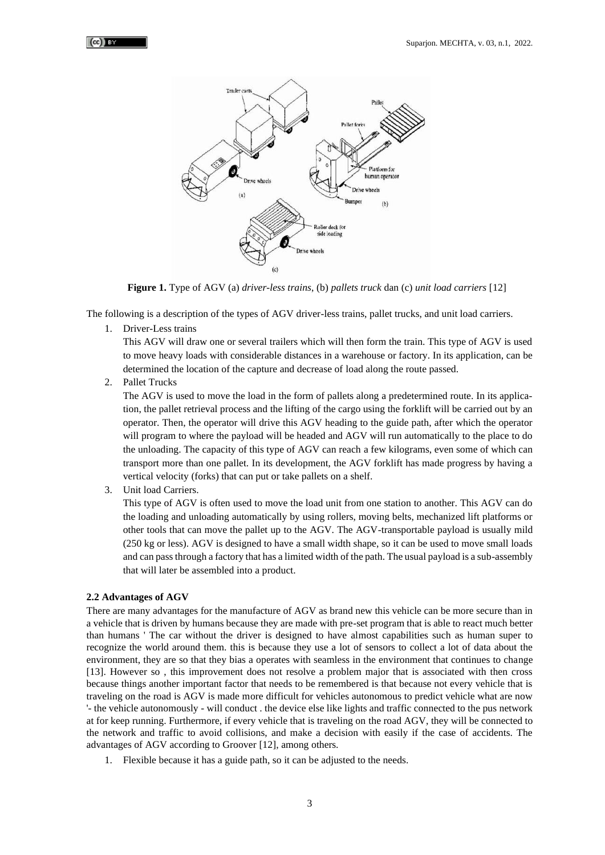

**Figure 1.** Type of AGV (a) *driver-less trains*, (b) *pallets truck* dan (c) *unit load carriers* [12]

The following is a description of the types of AGV driver-less trains, pallet trucks, and unit load carriers.

1. Driver-Less trains

This AGV will draw one or several trailers which will then form the train. This type of AGV is used to move heavy loads with considerable distances in a warehouse or factory. In its application, can be determined the location of the capture and decrease of load along the route passed.

2. Pallet Trucks

The AGV is used to move the load in the form of pallets along a predetermined route. In its application, the pallet retrieval process and the lifting of the cargo using the forklift will be carried out by an operator. Then, the operator will drive this AGV heading to the guide path, after which the operator will program to where the payload will be headed and AGV will run automatically to the place to do the unloading. The capacity of this type of AGV can reach a few kilograms, even some of which can transport more than one pallet. In its development, the AGV forklift has made progress by having a vertical velocity (forks) that can put or take pallets on a shelf.

3. Unit load Carriers.

This type of AGV is often used to move the load unit from one station to another. This AGV can do the loading and unloading automatically by using rollers, moving belts, mechanized lift platforms or other tools that can move the pallet up to the AGV. The AGV-transportable payload is usually mild (250 kg or less). AGV is designed to have a small width shape, so it can be used to move small loads and can pass through a factory that has a limited width of the path. The usual payload is a sub-assembly that will later be assembled into a product.

#### **2.2 Advantages of AGV**

There are many advantages for the manufacture of AGV as brand new this vehicle can be more secure than in a vehicle that is driven by humans because they are made with pre-set program that is able to react much better than humans ' The car without the driver is designed to have almost capabilities such as human super to recognize the world around them. this is because they use a lot of sensors to collect a lot of data about the environment, they are so that they bias a operates with seamless in the environment that continues to change [13]. However so , this improvement does not resolve a problem major that is associated with then cross because things another important factor that needs to be remembered is that because not every vehicle that is traveling on the road is AGV is made more difficult for vehicles autonomous to predict vehicle what are now '- the vehicle autonomously - will conduct . the device else like lights and traffic connected to the pus network at for keep running. Furthermore, if every vehicle that is traveling on the road AGV, they will be connected to the network and traffic to avoid collisions, and make a decision with easily if the case of accidents. The advantages of AGV according to Groover [12], among others.

1. Flexible because it has a guide path, so it can be adjusted to the needs.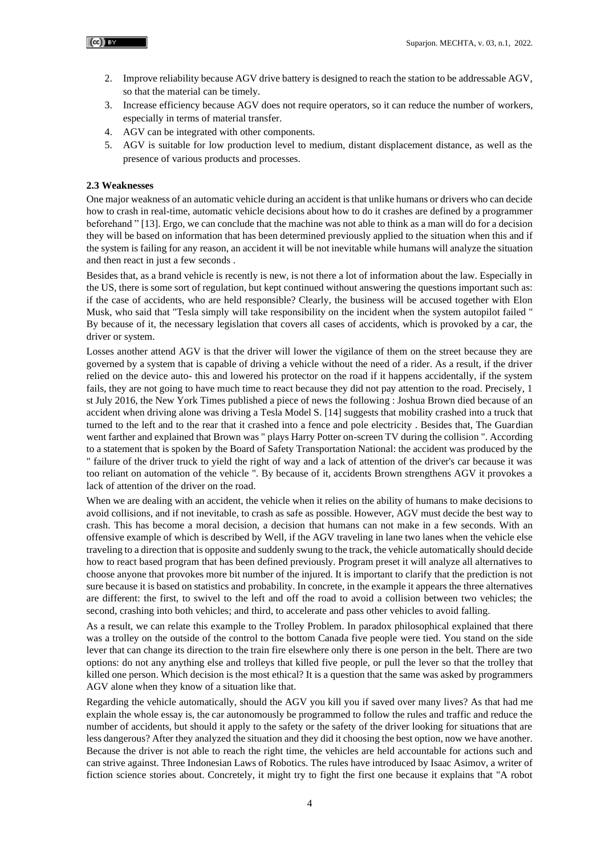- 2. Improve reliability because AGV drive battery is designed to reach the station to be addressable AGV, so that the material can be timely.
- 3. Increase efficiency because AGV does not require operators, so it can reduce the number of workers, especially in terms of material transfer.
- 4. AGV can be integrated with other components.
- 5. AGV is suitable for low production level to medium, distant displacement distance, as well as the presence of various products and processes.

#### **2.3 Weaknesses**

One major weakness of an automatic vehicle during an accident is that unlike humans or drivers who can decide how to crash in real-time, automatic vehicle decisions about how to do it crashes are defined by a programmer beforehand " [13]. Ergo, we can conclude that the machine was not able to think as a man will do for a decision they will be based on information that has been determined previously applied to the situation when this and if the system is failing for any reason, an accident it will be not inevitable while humans will analyze the situation and then react in just a few seconds .

Besides that, as a brand vehicle is recently is new, is not there a lot of information about the law. Especially in the US, there is some sort of regulation, but kept continued without answering the questions important such as: if the case of accidents, who are held responsible? Clearly, the business will be accused together with Elon Musk, who said that "Tesla simply will take responsibility on the incident when the system autopilot failed " By because of it, the necessary legislation that covers all cases of accidents, which is provoked by a car, the driver or system.

Losses another attend AGV is that the driver will lower the vigilance of them on the street because they are governed by a system that is capable of driving a vehicle without the need of a rider. As a result, if the driver relied on the device auto- this and lowered his protector on the road if it happens accidentally, if the system fails, they are not going to have much time to react because they did not pay attention to the road. Precisely, 1 st July 2016, the New York Times published a piece of news the following : Joshua Brown died because of an accident when driving alone was driving a Tesla Model S. [14] suggests that mobility crashed into a truck that turned to the left and to the rear that it crashed into a fence and pole electricity . Besides that, The Guardian went farther and explained that Brown was " plays Harry Potter on-screen TV during the collision ". According to a statement that is spoken by the Board of Safety Transportation National: the accident was produced by the " failure of the driver truck to yield the right of way and a lack of attention of the driver's car because it was too reliant on automation of the vehicle ". By because of it, accidents Brown strengthens AGV it provokes a lack of attention of the driver on the road.

When we are dealing with an accident, the vehicle when it relies on the ability of humans to make decisions to avoid collisions, and if not inevitable, to crash as safe as possible. However, AGV must decide the best way to crash. This has become a moral decision, a decision that humans can not make in a few seconds. With an offensive example of which is described by Well, if the AGV traveling in lane two lanes when the vehicle else traveling to a direction that is opposite and suddenly swung to the track, the vehicle automatically should decide how to react based program that has been defined previously. Program preset it will analyze all alternatives to choose anyone that provokes more bit number of the injured. It is important to clarify that the prediction is not sure because it is based on statistics and probability. In concrete, in the example it appears the three alternatives are different: the first, to swivel to the left and off the road to avoid a collision between two vehicles; the second, crashing into both vehicles; and third, to accelerate and pass other vehicles to avoid falling.

As a result, we can relate this example to the Trolley Problem. In paradox philosophical explained that there was a trolley on the outside of the control to the bottom Canada five people were tied. You stand on the side lever that can change its direction to the train fire elsewhere only there is one person in the belt. There are two options: do not any anything else and trolleys that killed five people, or pull the lever so that the trolley that killed one person. Which decision is the most ethical? It is a question that the same was asked by programmers AGV alone when they know of a situation like that.

Regarding the vehicle automatically, should the AGV you kill you if saved over many lives? As that had me explain the whole essay is, the car autonomously be programmed to follow the rules and traffic and reduce the number of accidents, but should it apply to the safety or the safety of the driver looking for situations that are less dangerous? After they analyzed the situation and they did it choosing the best option, now we have another. Because the driver is not able to reach the right time, the vehicles are held accountable for actions such and can strive against. Three Indonesian Laws of Robotics. The rules have introduced by Isaac Asimov, a writer of fiction science stories about. Concretely, it might try to fight the first one because it explains that "A robot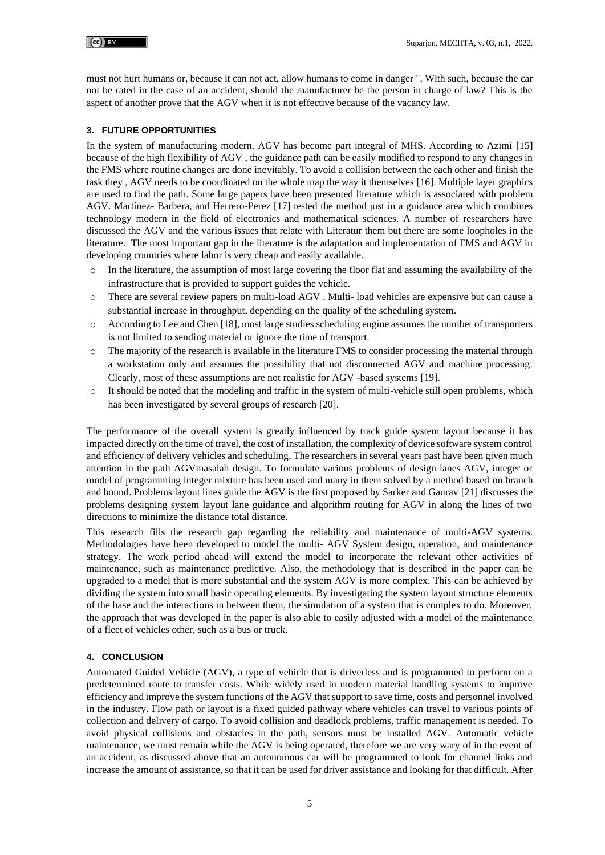must not hurt humans or, because it can not act, allow humans to come in danger ". With such, because the car not be rated in the case of an accident, should the manufacturer be the person in charge of law? This is the aspect of another prove that the AGV when it is not effective because of the vacancy law.

### **3. FUTURE OPPORTUNITIES**

In the system of manufacturing modern, AGV has become part integral of MHS. According to Azimi [15] because of the high flexibility of AGV , the guidance path can be easily modified to respond to any changes in the FMS where routine changes are done inevitably. To avoid a collision between the each other and finish the task they , AGV needs to be coordinated on the whole map the way it themselves [16]. Multiple layer graphics are used to find the path. Some large papers have been presented literature which is associated with problem AGV. Martínez- Barbera, and Herrero-Perez [17] tested the method just in a guidance area which combines technology modern in the field of electronics and mathematical sciences. A number of researchers have discussed the AGV and the various issues that relate with Literatur them but there are some loopholes in the literature. The most important gap in the literature is the adaptation and implementation of FMS and AGV in developing countries where labor is very cheap and easily available.

- In the literature, the assumption of most large covering the floor flat and assuming the availability of the infrastructure that is provided to support guides the vehicle.
- o There are several review papers on multi-load AGV . Multi- load vehicles are expensive but can cause a substantial increase in throughput, depending on the quality of the scheduling system.
- o According to Lee and Chen [18], most large studies scheduling engine assumes the number of transporters is not limited to sending material or ignore the time of transport.
- o The majority of the research is available in the literature FMS to consider processing the material through a workstation only and assumes the possibility that not disconnected AGV and machine processing. Clearly, most of these assumptions are not realistic for AGV -based systems [19].
- o It should be noted that the modeling and traffic in the system of multi-vehicle still open problems, which has been investigated by several groups of research [20].

The performance of the overall system is greatly influenced by track guide system layout because it has impacted directly on the time of travel, the cost of installation, the complexity of device software system control and efficiency of delivery vehicles and scheduling. The researchers in several years past have been given much attention in the path AGVmasalah design. To formulate various problems of design lanes AGV, integer or model of programming integer mixture has been used and many in them solved by a method based on branch and bound. Problems layout lines guide the AGV is the first proposed by Sarker and Gaurav [21] discusses the problems designing system layout lane guidance and algorithm routing for AGV in along the lines of two directions to minimize the distance total distance.

This research fills the research gap regarding the reliability and maintenance of multi-AGV systems. Methodologies have been developed to model the multi- AGV System design, operation, and maintenance strategy. The work period ahead will extend the model to incorporate the relevant other activities of maintenance, such as maintenance predictive. Also, the methodology that is described in the paper can be upgraded to a model that is more substantial and the system AGV is more complex. This can be achieved by dividing the system into small basic operating elements. By investigating the system layout structure elements of the base and the interactions in between them, the simulation of a system that is complex to do. Moreover, the approach that was developed in the paper is also able to easily adjusted with a model of the maintenance of a fleet of vehicles other, such as a bus or truck.

## **4. CONCLUSION**

Automated Guided Vehicle (AGV), a type of vehicle that is driverless and is programmed to perform on a predetermined route to transfer costs. While widely used in modern material handling systems to improve efficiency and improve the system functions of the AGV that support to save time, costs and personnel involved in the industry. Flow path or layout is a fixed guided pathway where vehicles can travel to various points of collection and delivery of cargo. To avoid collision and deadlock problems, traffic management is needed. To avoid physical collisions and obstacles in the path, sensors must be installed AGV. Automatic vehicle maintenance, we must remain while the AGV is being operated, therefore we are very wary of in the event of an accident, as discussed above that an autonomous car will be programmed to look for channel links and increase the amount of assistance, so that it can be used for driver assistance and looking for that difficult. After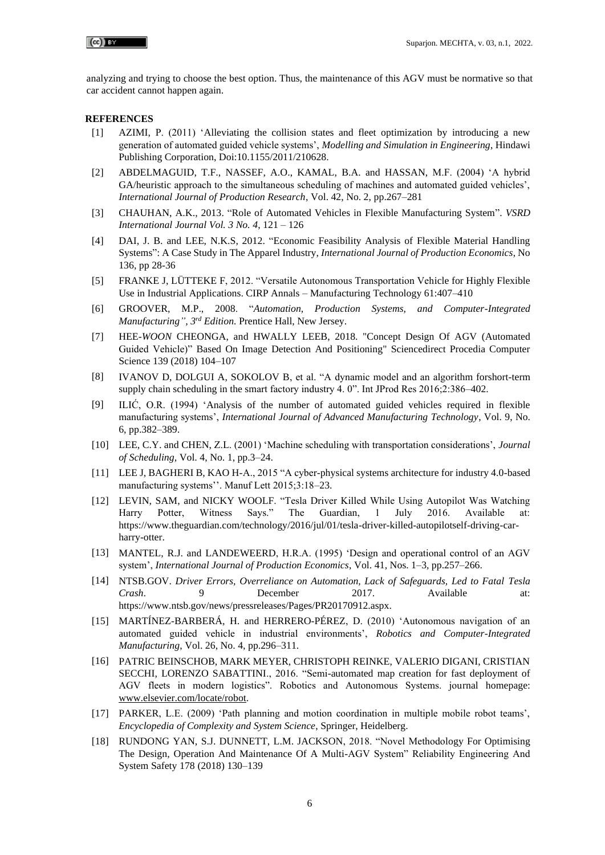analyzing and trying to choose the best option. Thus, the maintenance of this AGV must be normative so that car accident cannot happen again.

#### **REFERENCES**

- [1] AZIMI, P. (2011) 'Alleviating the collision states and fleet optimization by introducing a new generation of automated guided vehicle systems', *Modelling and Simulation in Engineering*, Hindawi Publishing Corporation, Doi:10.1155/2011/210628.
- [2] ABDELMAGUID, T.F., NASSEF, A.O., KAMAL, B.A. and HASSAN, M.F. (2004) 'A hybrid GA/heuristic approach to the simultaneous scheduling of machines and automated guided vehicles', *International Journal of Production Research*, Vol. 42, No. 2, pp.267–281
- [3] CHAUHAN, A.K., 2013. "Role of Automated Vehicles in Flexible Manufacturing System". *VSRD International Journal Vol. 3 No. 4*, 121 – 126
- [4] DAI, J. B. and LEE, N.K.S, 2012. "Economic Feasibility Analysis of Flexible Material Handling Systems": A Case Study in The Apparel Industry, *International Journal of Production Economics*, No 136, pp 28-36
- [5] FRANKE J, LÜTTEKE F, 2012. "Versatile Autonomous Transportation Vehicle for Highly Flexible Use in Industrial Applications. CIRP Annals – Manufacturing Technology 61:407–410
- [6] GROOVER, M.P., 2008. "*Automation, Production Systems, and Computer-Integrated Manufacturing", 3rd Edition.* Prentice Hall, New Jersey.
- [7] HEE-*WOON* CHEONGA, and HWALLY LEEB, 2018. "Concept Design Of AGV (Automated Guided Vehicle)" Based On Image Detection And Positioning" Sciencedirect Procedia Computer Science 139 (2018) 104–107
- [8] IVANOV D, DOLGUI A, SOKOLOV B, et al. "A dynamic model and an algorithm forshort-term supply chain scheduling in the smart factory industry 4. 0". Int JProd Res 2016;2:386–402.
- [9] ILIĆ, O.R. (1994) 'Analysis of the number of automated guided vehicles required in flexible manufacturing systems', *International Journal of Advanced Manufacturing Technology*, Vol. 9, No. 6, pp.382–389.
- [10] LEE, C.Y. and CHEN, Z.L. (2001) 'Machine scheduling with transportation considerations', *Journal of Scheduling*, Vol. 4, No. 1, pp.3–24.
- [11] LEE J, BAGHERI B, KAO H-A., 2015 "A cyber-physical systems architecture for industry 4.0-based manufacturing systems''. Manuf Lett 2015;3:18–23.
- [12] LEVIN, SAM, and NICKY WOOLF. "Tesla Driver Killed While Using Autopilot Was Watching Harry Potter, Witness Says." The Guardian, 1 July 2016. Available at: https://www.theguardian.com/technology/2016/jul/01/tesla-driver-killed-autopilotself-driving-carharry-otter.
- [13] MANTEL, R.J. and LANDEWEERD, H.R.A. (1995) 'Design and operational control of an AGV system', *International Journal of Production Economics*, Vol. 41, Nos. 1–3, pp.257–266.
- [14] NTSB.GOV. *Driver Errors, Overreliance on Automation, Lack of Safeguards, Led to Fatal Tesla Crash*. 9 December 2017. Available at: https://www.ntsb.gov/news/pressreleases/Pages/PR20170912.aspx.
- [15] MARTÍNEZ-BARBERÁ, H. and HERRERO-PÉREZ, D. (2010) 'Autonomous navigation of an automated guided vehicle in industrial environments', *Robotics and Computer-Integrated Manufacturing*, Vol. 26, No. 4, pp.296–311.
- [16] PATRIC BEINSCHOB, MARK MEYER, CHRISTOPH REINKE, VALERIO DIGANI, CRISTIAN SECCHI, LORENZO SABATTINI., 2016. "Semi-automated map creation for fast deployment of AGV fleets in modern logistics". Robotics and Autonomous Systems. journal homepage: [www.elsevier.com/locate/robot.](http://www.elsevier.com/locate/robot)
- [17] PARKER, L.E. (2009) 'Path planning and motion coordination in multiple mobile robot teams', *Encyclopedia of Complexity and System Science*, Springer, Heidelberg.
- [18] RUNDONG YAN, S.J. DUNNETT, L.M. JACKSON, 2018. "Novel Methodology For Optimising The Design, Operation And Maintenance Of A Multi-AGV System" Reliability Engineering And System Safety 178 (2018) 130–139